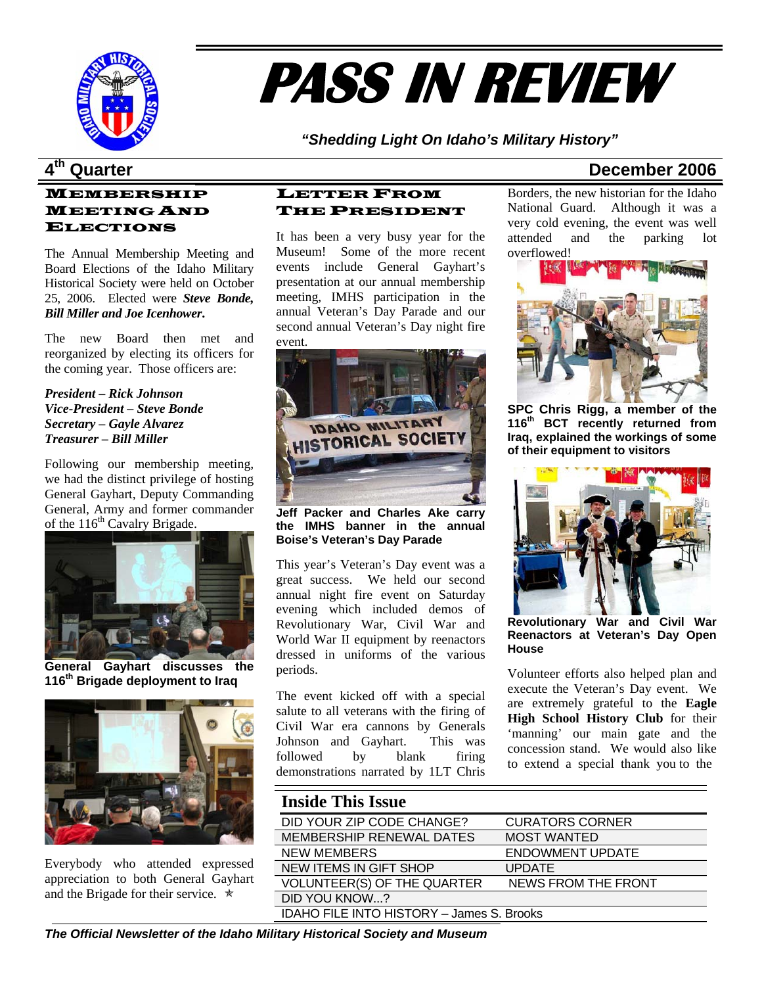

# **PASS IN REVIEW**

*"Shedding Light On Idaho's Military History"* 

### MEMBERSHIP MEETING AND ELECTIONS

The Annual Membership Meeting and Board Elections of the Idaho Military Historical Society were held on October 25, 2006. Elected were *Steve Bonde, Bill Miller and Joe Icenhower***.**

The new Board then met and reorganized by electing its officers for the coming year. Those officers are:

*President – Rick Johnson Vice-President – Steve Bonde Secretary – Gayle Alvarez Treasurer – Bill Miller* 

Following our membership meeting, we had the distinct privilege of hosting General Gayhart, Deputy Commanding General, Army and former commander of the 116<sup>th</sup> Cavalry Brigade.



**General Gayhart discusses the 116th Brigade deployment to Iraq**



Everybody who attended expressed appreciation to both General Gayhart and the Brigade for their service.  $\star$ 

### LETTER FROM THE PRESIDENT

It has been a very busy year for the Museum! Some of the more recent events include General Gayhart's presentation at our annual membership meeting, IMHS participation in the annual Veteran's Day Parade and our second annual Veteran's Day night fire event.



**Jeff Packer and Charles Ake carry the IMHS banner in the annual Boise's Veteran's Day Parade** 

This year's Veteran's Day event was a great success. We held our second annual night fire event on Saturday evening which included demos of Revolutionary War, Civil War and World War II equipment by reenactors dressed in uniforms of the various periods.

The event kicked off with a special salute to all veterans with the firing of Civil War era cannons by Generals Johnson and Gayhart. This was followed by blank firing demonstrations narrated by 1LT Chris

### **4th Quarter December 2006**

Borders, the new historian for the Idaho National Guard. Although it was a very cold evening, the event was well attended and the parking lot overflowed!



**SPC Chris Rigg, a member of the 116th BCT recently returned from Iraq, explained the workings of some of their equipment to visitors** 



**Revolutionary War and Civil War Reenactors at Veteran's Day Open House** 

Volunteer efforts also helped plan and execute the Veteran's Day event. We are extremely grateful to the **Eagle High School History Club** for their 'manning' our main gate and the concession stand. We would also like to extend a special thank you to the

### **Inside This Issue** DID YOUR ZIP CODE CHANGE? CURATORS CORNER MEMBERSHIP RENEWAL DATES MOST WANTED NEW MEMBERS ENDOWMENT UPDATE NEW ITEMS IN GIFT SHOP UPDATE VOLUNTEER(S) OF THE QUARTER NEWS FROM THE FRONT DID YOU KNOW...? IDAHO FILE INTO HISTORY – James S. Brooks

*The Official Newsletter of the Idaho Military Historical Society and Museum*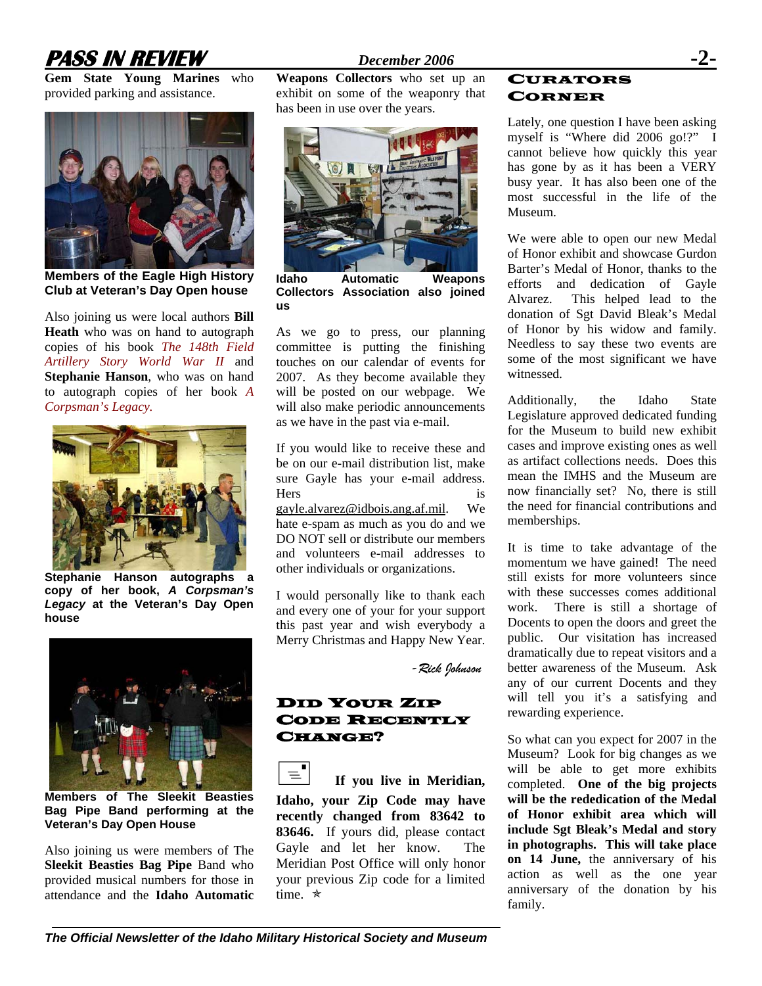# **PASS IN REVIEW** *December 2006* **-2-**

**Gem State Young Marines** who provided parking and assistance.



**Members of the Eagle High History Club at Veteran's Day Open house**

Also joining us were local authors **Bill Heath** who was on hand to autograph copies of his book *The 148th Field Artillery Story World War II* and **Stephanie Hanson**, who was on hand to autograph copies of her book *A Corpsman's Legacy.* 



**Stephanie Hanson autographs a copy of her book,** *A Corpsman's Legacy* **at the Veteran's Day Open house** 



**Members of The Sleekit Beasties Bag Pipe Band performing at the Veteran's Day Open House** 

Also joining us were members of The **Sleekit Beasties Bag Pipe** Band who provided musical numbers for those in attendance and the **Idaho Automatic** 

**Weapons Collectors** who set up an exhibit on some of the weaponry that has been in use over the years.



**Idaho Automatic Weapons Collectors Association also joined us** 

As we go to press, our planning committee is putting the finishing touches on our calendar of events for 2007. As they become available they will be posted on our webpage. We will also make periodic announcements as we have in the past via e-mail.

If you would like to receive these and be on our e-mail distribution list, make sure Gayle has your e-mail address. Hers is [gayle.alvarez@idbois.ang.af.mil](mailto:gayle.alvarez@idbois.ang.af.mil). We hate e-spam as much as you do and we DO NOT sell or distribute our members and volunteers e-mail addresses to other individuals or organizations.

I would personally like to thank each and every one of your for your support this past year and wish everybody a Merry Christmas and Happy New Year.

 *-Rick Johnson* 

### DID YOUR ZIP CODE RECENTLY CHANGE?

 $\equiv$ <sup> $\blacksquare$ </sup> If you live in Meridian, **Idaho, your Zip Code may have recently changed from 83642 to 83646.** If yours did, please contact Gayle and let her know. The Meridian Post Office will only honor your previous Zip code for a limited time.  $\star$ 

### CURATORS CORNER

Lately, one question I have been asking myself is "Where did 2006 go!?" I cannot believe how quickly this year has gone by as it has been a VERY busy year. It has also been one of the most successful in the life of the Museum.

We were able to open our new Medal of Honor exhibit and showcase Gurdon Barter's Medal of Honor, thanks to the efforts and dedication of Gayle Alvarez. This helped lead to the donation of Sgt David Bleak's Medal of Honor by his widow and family. Needless to say these two events are some of the most significant we have witnessed.

Additionally, the Idaho State Legislature approved dedicated funding for the Museum to build new exhibit cases and improve existing ones as well as artifact collections needs. Does this mean the IMHS and the Museum are now financially set? No, there is still the need for financial contributions and memberships.

It is time to take advantage of the momentum we have gained! The need still exists for more volunteers since with these successes comes additional work. There is still a shortage of Docents to open the doors and greet the public. Our visitation has increased dramatically due to repeat visitors and a better awareness of the Museum. Ask any of our current Docents and they will tell you it's a satisfying and rewarding experience.

So what can you expect for 2007 in the Museum? Look for big changes as we will be able to get more exhibits completed. **One of the big projects will be the rededication of the Medal of Honor exhibit area which will include Sgt Bleak's Medal and story in photographs. This will take place on 14 June,** the anniversary of his action as well as the one year anniversary of the donation by his family.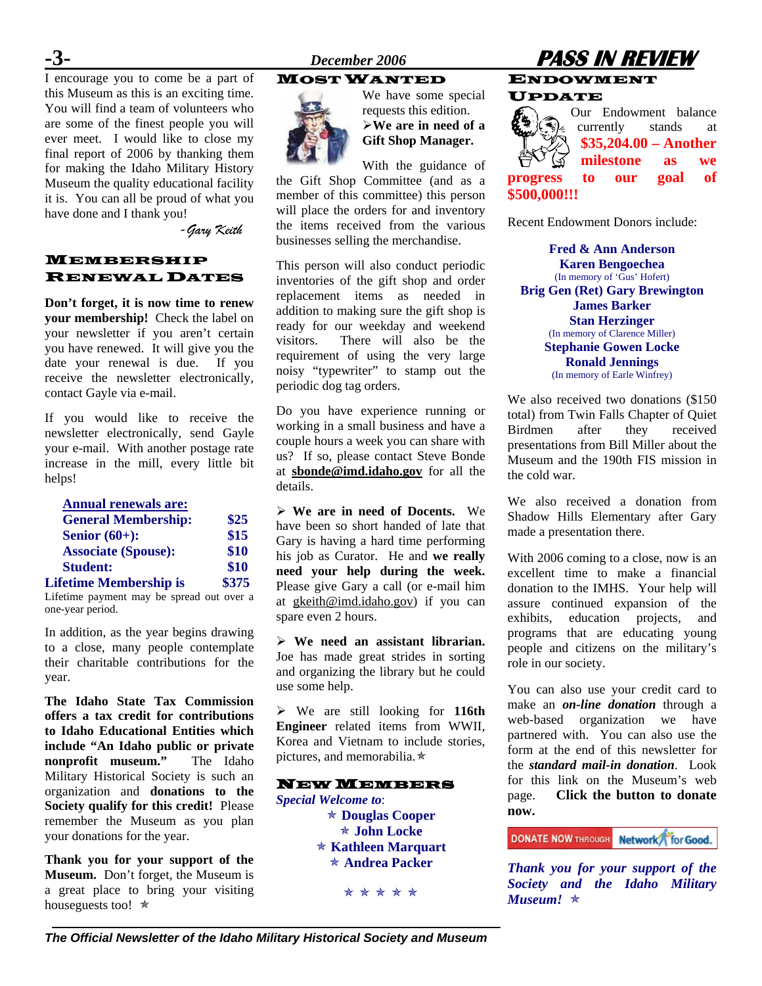I encourage you to come be a part of this Museum as this is an exciting time. You will find a team of volunteers who are some of the finest people you will ever meet. I would like to close my final report of 2006 by thanking them for making the Idaho Military History Museum the quality educational facility it is. You can all be proud of what you have done and I thank you!

 *-Gary Keith* 

### MEMBERSHIP RENEWAL DATES

**Don't forget, it is now time to renew your membership!** Check the label on your newsletter if you aren't certain you have renewed. It will give you the date your renewal is due. If you receive the newsletter electronically, contact Gayle via e-mail.

If you would like to receive the newsletter electronically, send Gayle your e-mail. With another postage rate increase in the mill, every little bit helps!

| <b>Annual renewals are:</b>   |       |
|-------------------------------|-------|
| <b>General Membership:</b>    | \$25  |
| Senior $(60+)$ :              | \$15  |
| <b>Associate (Spouse):</b>    | \$10  |
| <b>Student:</b>               | \$10  |
| <b>Lifetime Membership is</b> | \$375 |

Lifetime payment may be spread out over a one-year period.

In addition, as the year begins drawing to a close, many people contemplate their charitable contributions for the year.

**The Idaho State Tax Commission offers a tax credit for contributions to Idaho Educational Entities which include "An Idaho public or private nonprofit museum."** The Idaho Military Historical Society is such an organization and **donations to the Society qualify for this credit!** Please remember the Museum as you plan your donations for the year.

**Thank you for your support of the Museum.** Don't forget, the Museum is a great place to bring your visiting houseguests too!  $\star$ 

### MOST WANTED



We have some special requests this edition. ¾**We are in need of a Gift Shop Manager.** 

With the guidance of the Gift Shop Committee (and as a member of this committee) this person will place the orders for and inventory the items received from the various businesses selling the merchandise.

This person will also conduct periodic inventories of the gift shop and order replacement items as needed in addition to making sure the gift shop is ready for our weekday and weekend visitors. There will also be the requirement of using the very large noisy "typewriter" to stamp out the periodic dog tag orders.

Do you have experience running or working in a small business and have a couple hours a week you can share with us? If so, please contact Steve Bonde at **[sbonde@imd.idaho.gov](mailto:sbonde@imd.idaho.gov)** for all the details.

¾ **We are in need of Docents.** We have been so short handed of late that Gary is having a hard time performing his job as Curator. He and **we really need your help during the week.** Please give Gary a call (or e-mail him at [gkeith@imd.idaho.gov](mailto:gkeith@imd.idaho.gov)) if you can spare even 2 hours.

¾ **We need an assistant librarian.** Joe has made great strides in sorting and organizing the library but he could use some help.

¾ We are still looking for **116th Engineer** related items from WWII, Korea and Vietnam to include stories, pictures, and memorabilia. $\star$ 

### NEW MEMBERS

*Special Welcome to*: Õ **Douglas Cooper**  Õ **John Locke**  Õ **Kathleen Marquart**  Õ **Andrea Packer** 

\* \* \* \* \*

# **-3-** *December 2006* **PASS IN REVIEW**

### ENDOWMENT UPDATE

Our Endowment balance currently stands at **\$35,204.00 – Another milestone as we progress to our goal of \$500,000!!!**

Recent Endowment Donors include:

**Fred & Ann Anderson Karen Bengoechea**  (In memory of 'Gus' Hofert) **Brig Gen (Ret) Gary Brewington James Barker Stan Herzinger**  (In memory of Clarence Miller) **Stephanie Gowen Locke Ronald Jennings**  (In memory of Earle Winfrey)

We also received two donations (\$150 total) from Twin Falls Chapter of Quiet Birdmen after they received presentations from Bill Miller about the Museum and the 190th FIS mission in the cold war.

We also received a donation from Shadow Hills Elementary after Gary made a presentation there.

With 2006 coming to a close, now is an excellent time to make a financial donation to the IMHS. Your help will assure continued expansion of the exhibits, education projects, and programs that are educating young people and citizens on the military's role in our society.

You can also use your credit card to make an *on-line donation* through a web-based organization we have partnered with. You can also use the form at the end of this newsletter for the *standard mail-in donation*. Look for this link on the Museum's web page. **Click the button to donate now.**

**DONATE NOW THROUGH Network** for Good.

*Thank you for your support of the Society and the Idaho Military Museum!*  $\star$ 

*The Official Newsletter of the Idaho Military Historical Society and Museum*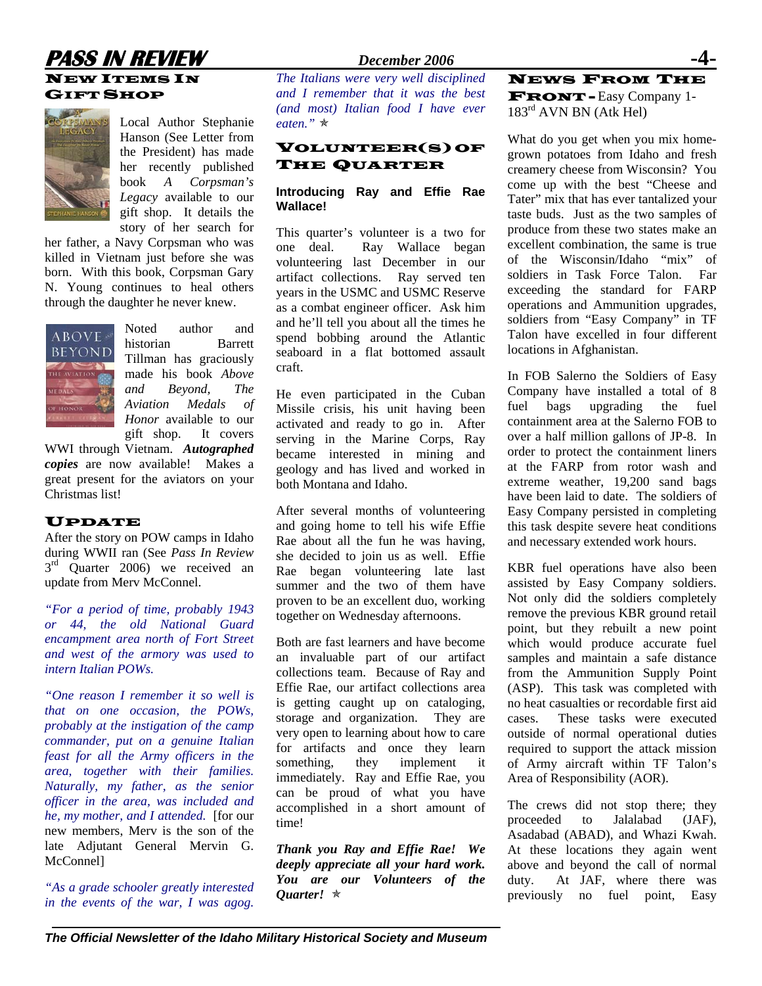### **PASS IN REVIEW** *December 2006* NEW ITEMS IN GIFT SHOP



Local Author Stephanie Hanson (See Letter from the President) has made her recently published book *A Corpsman's Legacy* available to our gift shop. It details the story of her search for

her father, a Navy Corpsman who was killed in Vietnam just before she was born. With this book, Corpsman Gary N. Young continues to heal others through the daughter he never knew.



Noted author and historian Barrett Tillman has graciously made his book *Above and Beyond, The Aviation Medals of Honor* available to our gift shop. It covers

WWI through Vietnam. *Autographed copies* are now available! Makes a great present for the aviators on your Christmas list!

### UPDATE

After the story on POW camps in Idaho during WWII ran (See *Pass In Review*  $3<sup>rd</sup>$  Quarter 2006) we received an update from Merv McConnel.

*"For a period of time, probably 1943 or 44, the old National Guard encampment area north of Fort Street and west of the armory was used to intern Italian POWs.* 

*"One reason I remember it so well is that on one occasion, the POWs, probably at the instigation of the camp commander, put on a genuine Italian feast for all the Army officers in the area, together with their families. Naturally, my father, as the senior officer in the area, was included and he, my mother, and I attended.* [for our new members, Merv is the son of the late Adjutant General Mervin G. McConnel]

*"As a grade schooler greatly interested in the events of the war, I was agog.* 

### *The Italians were very well disciplined and I remember that it was the best (and most) Italian food I have ever eaten.*" ★

### VOLUNTEER(S) OF THE QUARTER

### **Introducing Ray and Effie Rae Wallace!**

This quarter's volunteer is a two for one deal. Ray Wallace began volunteering last December in our artifact collections. Ray served ten years in the USMC and USMC Reserve as a combat engineer officer. Ask him and he'll tell you about all the times he spend bobbing around the Atlantic seaboard in a flat bottomed assault craft.

He even participated in the Cuban Missile crisis, his unit having been activated and ready to go in. After serving in the Marine Corps, Ray became interested in mining and geology and has lived and worked in both Montana and Idaho.

After several months of volunteering and going home to tell his wife Effie Rae about all the fun he was having, she decided to join us as well. Effie Rae began volunteering late last summer and the two of them have proven to be an excellent duo, working together on Wednesday afternoons.

Both are fast learners and have become an invaluable part of our artifact collections team. Because of Ray and Effie Rae, our artifact collections area is getting caught up on cataloging, storage and organization. They are very open to learning about how to care for artifacts and once they learn something, they implement it immediately. Ray and Effie Rae, you can be proud of what you have accomplished in a short amount of time!

*Thank you Ray and Effie Rae! We deeply appreciate all your hard work. You are our Volunteers of the Quarter!* Õ

### NEWS FROM THE FRONT - Easy Company 1- 183rd AVN BN (Atk Hel)

What do you get when you mix homegrown potatoes from Idaho and fresh creamery cheese from Wisconsin? You come up with the best "Cheese and Tater" mix that has ever tantalized your taste buds. Just as the two samples of produce from these two states make an excellent combination, the same is true of the Wisconsin/Idaho "mix" of soldiers in Task Force Talon. Far exceeding the standard for FARP operations and Ammunition upgrades, soldiers from "Easy Company" in TF Talon have excelled in four different locations in Afghanistan.

In FOB Salerno the Soldiers of Easy Company have installed a total of 8 fuel bags upgrading the fuel containment area at the Salerno FOB to over a half million gallons of JP-8. In order to protect the containment liners at the FARP from rotor wash and extreme weather, 19,200 sand bags have been laid to date. The soldiers of Easy Company persisted in completing this task despite severe heat conditions and necessary extended work hours.

KBR fuel operations have also been assisted by Easy Company soldiers. Not only did the soldiers completely remove the previous KBR ground retail point, but they rebuilt a new point which would produce accurate fuel samples and maintain a safe distance from the Ammunition Supply Point (ASP). This task was completed with no heat casualties or recordable first aid cases. These tasks were executed outside of normal operational duties required to support the attack mission of Army aircraft within TF Talon's Area of Responsibility (AOR).

The crews did not stop there; they proceeded to Jalalabad (JAF), Asadabad (ABAD), and Whazi Kwah. At these locations they again went above and beyond the call of normal duty. At JAF, where there was previously no fuel point, Easy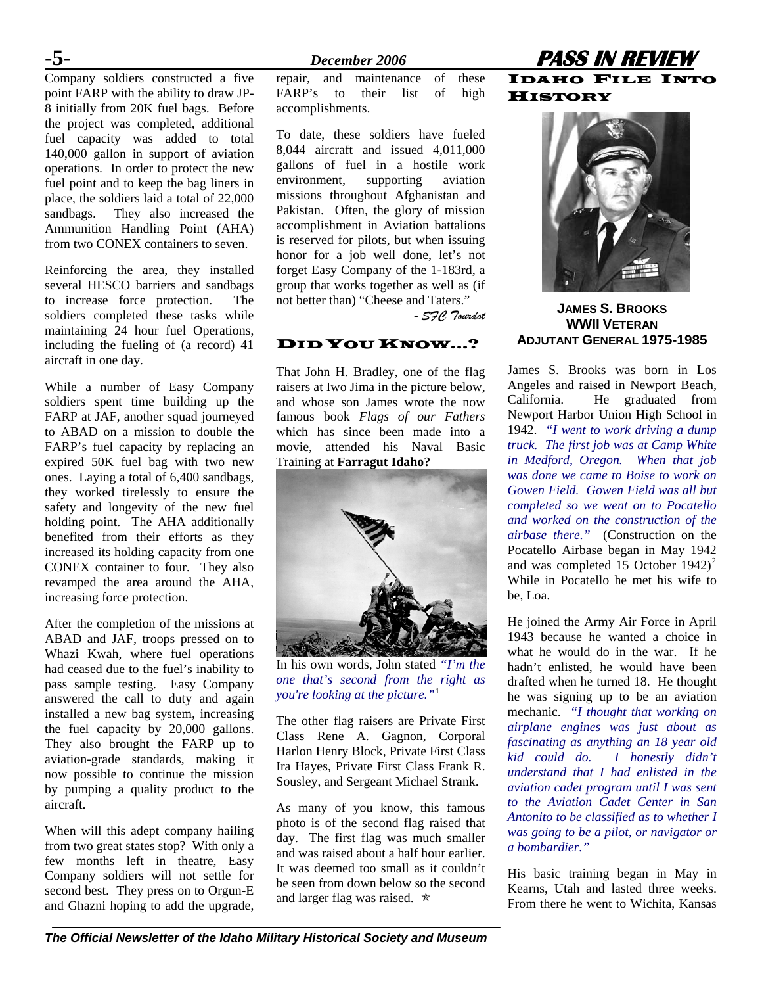Company soldiers constructed a five point FARP with the ability to draw JP-8 initially from 20K fuel bags. Before the project was completed, additional fuel capacity was added to total 140,000 gallon in support of aviation operations. In order to protect the new fuel point and to keep the bag liners in place, the soldiers laid a total of 22,000 sandbags. They also increased the Ammunition Handling Point (AHA) from two CONEX containers to seven.

Reinforcing the area, they installed several HESCO barriers and sandbags to increase force protection. The soldiers completed these tasks while maintaining 24 hour fuel Operations, including the fueling of (a record) 41 aircraft in one day.

While a number of Easy Company soldiers spent time building up the FARP at JAF, another squad journeyed to ABAD on a mission to double the FARP's fuel capacity by replacing an expired 50K fuel bag with two new ones. Laying a total of 6,400 sandbags, they worked tirelessly to ensure the safety and longevity of the new fuel holding point. The AHA additionally benefited from their efforts as they increased its holding capacity from one CONEX container to four. They also revamped the area around the AHA, increasing force protection.

After the completion of the missions at ABAD and JAF, troops pressed on to Whazi Kwah, where fuel operations had ceased due to the fuel's inability to pass sample testing. Easy Company answered the call to duty and again installed a new bag system, increasing the fuel capacity by 20,000 gallons. They also brought the FARP up to aviation-grade standards, making it now possible to continue the mission by pumping a quality product to the aircraft.

When will this adept company hailing from two great states stop? With only a few months left in theatre, Easy Company soldiers will not settle for second best. They press on to Orgun-E and Ghazni hoping to add the upgrade,

repair, and maintenance of these FARP's to their list of high accomplishments.

To date, these soldiers have fueled 8,044 aircraft and issued 4,011,000 gallons of fuel in a hostile work environment, supporting aviation missions throughout Afghanistan and Pakistan. Often, the glory of mission accomplishment in Aviation battalions is reserved for pilots, but when issuing honor for a job well done, let's not forget Easy Company of the 1-183rd, a group that works together as well as (if not better than) "Cheese and Taters."

### - *SFC Tourdot*

### DID YOU KNOW...?

That John H. Bradley, one of the flag raisers at Iwo Jima in the picture below, and whose son James wrote the now famous book *Flags of our Fathers* which has since been made into a movie, attended his Naval Basic Training at **Farragut Idaho?** 



In his own words, John stated *"I'm the one that's second from the right as you're looking at the picture."*[1](#page--1-0)

The other flag raisers are Private First Class Rene A. Gagnon, Corporal Harlon Henry Block, Private First Class Ira Hayes, Private First Class Frank R. Sousley, and Sergeant Michael Strank.

As many of you know, this famous photo is of the second flag raised that day. The first flag was much smaller and was raised about a half hour earlier. It was deemed too small as it couldn't be seen from down below so the second and larger flag was raised.  $\star$ 

### **-5-** *December 2006* **PASS IN REVIEW**  IDAHO FILE INTO **HISTORY**



### **JAMES S. BROOKS WWII VETERAN ADJUTANT GENERAL 1975-1985**

James S. Brooks was born in Los Angeles and raised in Newport Beach, California. He graduated from Newport Harbor Union High School in 1942. *"I went to work driving a dump truck. The first job was at Camp White in Medford, Oregon. When that job was done we came to Boise to work on Gowen Field. Gowen Field was all but completed so we went on to Pocatello and worked on the construction of the airbase there."* (Construction on the Pocatello Airbase began in May 1942 and was completed 15 October  $1942)^2$  $1942)^2$  $1942)^2$ While in Pocatello he met his wife to be, Loa.

He joined the Army Air Force in April 1943 because he wanted a choice in what he would do in the war. If he hadn't enlisted, he would have been drafted when he turned 18. He thought he was signing up to be an aviation mechanic. *"I thought that working on airplane engines was just about as fascinating as anything an 18 year old I* honestly didn't *understand that I had enlisted in the aviation cadet program until I was sent to the Aviation Cadet Center in San Antonito to be classified as to whether I was going to be a pilot, or navigator or a bombardier."* 

His basic training began in May in Kearns, Utah and lasted three weeks. From there he went to Wichita, Kansas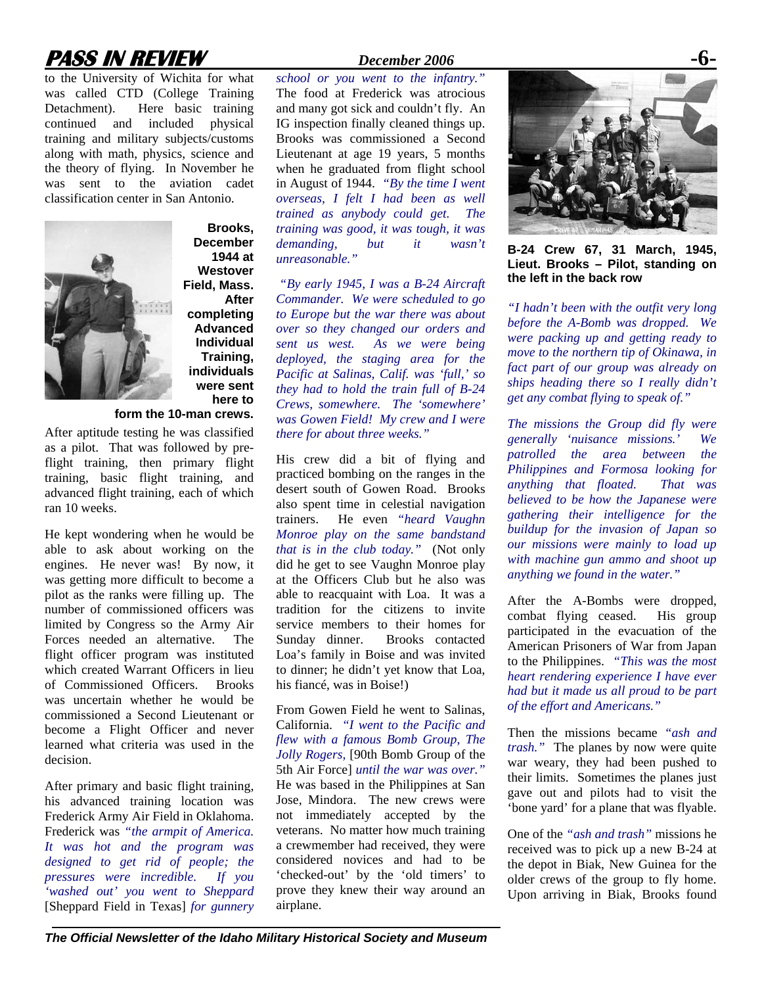# **PASS IN REVIEW** *December 2006* **-6-**

to the University of Wichita for what was called CTD (College Training Detachment). Here basic training continued and included physical training and military subjects/customs along with math, physics, science and the theory of flying. In November he was sent to the aviation cadet classification center in San Antonio.



**December 1944 at Westover Field, Mass. After completing Advanced Individual Training, individuals were sent here to** 

**Brooks,** 

**form the 10-man crews.**  After aptitude testing he was classified

as a pilot. That was followed by preflight training, then primary flight training, basic flight training, and advanced flight training, each of which ran 10 weeks.

He kept wondering when he would be able to ask about working on the engines. He never was! By now, it was getting more difficult to become a pilot as the ranks were filling up. The number of commissioned officers was limited by Congress so the Army Air Forces needed an alternative. The flight officer program was instituted which created Warrant Officers in lieu of Commissioned Officers. Brooks was uncertain whether he would be commissioned a Second Lieutenant or become a Flight Officer and never learned what criteria was used in the decision.

After primary and basic flight training, his advanced training location was Frederick Army Air Field in Oklahoma. Frederick was *"the armpit of America. It was hot and the program was designed to get rid of people; the pressures were incredible. If you 'washed out' you went to Sheppard*  [Sheppard Field in Texas] *for gunnery* 

*school or you went to the infantry."*  The food at Frederick was atrocious and many got sick and couldn't fly. An IG inspection finally cleaned things up. Brooks was commissioned a Second Lieutenant at age 19 years, 5 months when he graduated from flight school in August of 1944. *"By the time I went overseas, I felt I had been as well trained as anybody could get. The training was good, it was tough, it was demanding, but it wasn't unreasonable."* 

 *"By early 1945, I was a B-24 Aircraft Commander. We were scheduled to go to Europe but the war there was about over so they changed our orders and sent us west. As we were being deployed, the staging area for the Pacific at Salinas, Calif. was 'full,' so they had to hold the train full of B-24 Crews, somewhere. The 'somewhere' was Gowen Field! My crew and I were there for about three weeks."* 

His crew did a bit of flying and practiced bombing on the ranges in the desert south of Gowen Road. Brooks also spent time in celestial navigation trainers. He even *"heard Vaughn Monroe play on the same bandstand that is in the club today."* (Not only did he get to see Vaughn Monroe play at the Officers Club but he also was able to reacquaint with Loa. It was a tradition for the citizens to invite service members to their homes for Sunday dinner. Brooks contacted Loa's family in Boise and was invited to dinner; he didn't yet know that Loa, his fiancé, was in Boise!)

From Gowen Field he went to Salinas, California. *"I went to the Pacific and flew with a famous Bomb Group, The Jolly Rogers,* [90th Bomb Group of the 5th Air Force] *until the war was over."*  He was based in the Philippines at San Jose, Mindora. The new crews were not immediately accepted by the veterans. No matter how much training a crewmember had received, they were considered novices and had to be 'checked-out' by the 'old timers' to prove they knew their way around an airplane.



**B-24 Crew 67, 31 March, 1945, Lieut. Brooks – Pilot, standing on the left in the back row** 

*"I hadn't been with the outfit very long before the A-Bomb was dropped. We were packing up and getting ready to move to the northern tip of Okinawa, in fact part of our group was already on ships heading there so I really didn't get any combat flying to speak of."* 

*The missions the Group did fly were generally 'nuisance missions.' We patrolled the area between the Philippines and Formosa looking for anything that floated. That was believed to be how the Japanese were gathering their intelligence for the buildup for the invasion of Japan so our missions were mainly to load up with machine gun ammo and shoot up anything we found in the water."* 

After the A-Bombs were dropped, combat flying ceased. His group participated in the evacuation of the American Prisoners of War from Japan to the Philippines. *"This was the most heart rendering experience I have ever had but it made us all proud to be part of the effort and Americans."* 

Then the missions became *"ash and trash."* The planes by now were quite war weary, they had been pushed to their limits. Sometimes the planes just gave out and pilots had to visit the 'bone yard' for a plane that was flyable.

One of the *"ash and trash"* missions he received was to pick up a new B-24 at the depot in Biak, New Guinea for the older crews of the group to fly home. Upon arriving in Biak, Brooks found

*The Official Newsletter of the Idaho Military Historical Society and Museum*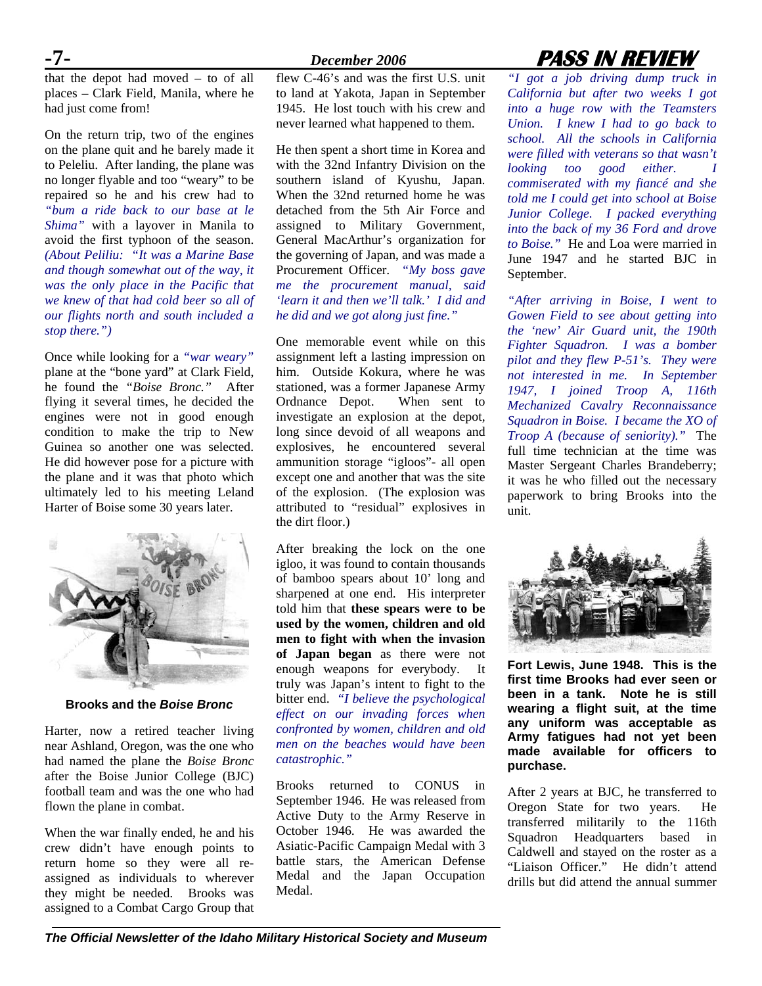that the depot had moved – to of all places – Clark Field, Manila, where he had just come from!

On the return trip, two of the engines on the plane quit and he barely made it to Peleliu. After landing, the plane was no longer flyable and too "weary" to be repaired so he and his crew had to *"bum a ride back to our base at le Shima"* with a layover in Manila to avoid the first typhoon of the season. *(About Peliliu: "It was a Marine Base and though somewhat out of the way, it was the only place in the Pacific that we knew of that had cold beer so all of our flights north and south included a stop there.")*

Once while looking for a *"war weary"*  plane at the "bone yard" at Clark Field, he found the *"Boise Bronc."* After flying it several times, he decided the engines were not in good enough condition to make the trip to New Guinea so another one was selected. He did however pose for a picture with the plane and it was that photo which ultimately led to his meeting Leland Harter of Boise some 30 years later.



**Brooks and the** *Boise Bronc*

Harter, now a retired teacher living near Ashland, Oregon, was the one who had named the plane the *Boise Bronc* after the Boise Junior College (BJC) football team and was the one who had flown the plane in combat.

When the war finally ended, he and his crew didn't have enough points to return home so they were all reassigned as individuals to wherever they might be needed. Brooks was assigned to a Combat Cargo Group that

flew C-46's and was the first U.S. unit to land at Yakota, Japan in September 1945. He lost touch with his crew and never learned what happened to them.

He then spent a short time in Korea and with the 32nd Infantry Division on the southern island of Kyushu, Japan. When the 32nd returned home he was detached from the 5th Air Force and assigned to Military Government, General MacArthur's organization for the governing of Japan, and was made a Procurement Officer. *"My boss gave me the procurement manual, said 'learn it and then we'll talk.' I did and he did and we got along just fine."* 

One memorable event while on this assignment left a lasting impression on him. Outside Kokura, where he was stationed, was a former Japanese Army Ordnance Depot. When sent to investigate an explosion at the depot, long since devoid of all weapons and explosives, he encountered several ammunition storage "igloos"- all open except one and another that was the site of the explosion. (The explosion was attributed to "residual" explosives in the dirt floor.)

After breaking the lock on the one igloo, it was found to contain thousands of bamboo spears about 10' long and sharpened at one end. His interpreter told him that **these spears were to be used by the women, children and old men to fight with when the invasion of Japan began** as there were not enough weapons for everybody. It truly was Japan's intent to fight to the bitter end. *"I believe the psychological effect on our invading forces when confronted by women, children and old men on the beaches would have been catastrophic."* 

Brooks returned to CONUS in September 1946. He was released from Active Duty to the Army Reserve in October 1946. He was awarded the Asiatic-Pacific Campaign Medal with 3 battle stars, the American Defense Medal and the Japan Occupation Medal.

# **-7-** *December 2006* **PASS IN REVIEW**

*"I got a job driving dump truck in California but after two weeks I got into a huge row with the Teamsters Union. I knew I had to go back to school. All the schools in California were filled with veterans so that wasn't looking too good either. I commiserated with my fiancé and she told me I could get into school at Boise Junior College. I packed everything into the back of my 36 Ford and drove to Boise."* He and Loa were married in June 1947 and he started BJC in September.

*"After arriving in Boise, I went to Gowen Field to see about getting into the 'new' Air Guard unit, the 190th Fighter Squadron. I was a bomber pilot and they flew P-51's. They were not interested in me. In September 1947, I joined Troop A, 116th Mechanized Cavalry Reconnaissance Squadron in Boise. I became the XO of Troop A (because of seniority)."* The full time technician at the time was Master Sergeant Charles Brandeberry; it was he who filled out the necessary paperwork to bring Brooks into the unit.



**Fort Lewis, June 1948. This is the first time Brooks had ever seen or been in a tank. Note he is still wearing a flight suit, at the time any uniform was acceptable as Army fatigues had not yet been made available for officers to purchase.** 

After 2 years at BJC, he transferred to Oregon State for two years. He transferred militarily to the 116th Squadron Headquarters based in Caldwell and stayed on the roster as a "Liaison Officer." He didn't attend drills but did attend the annual summer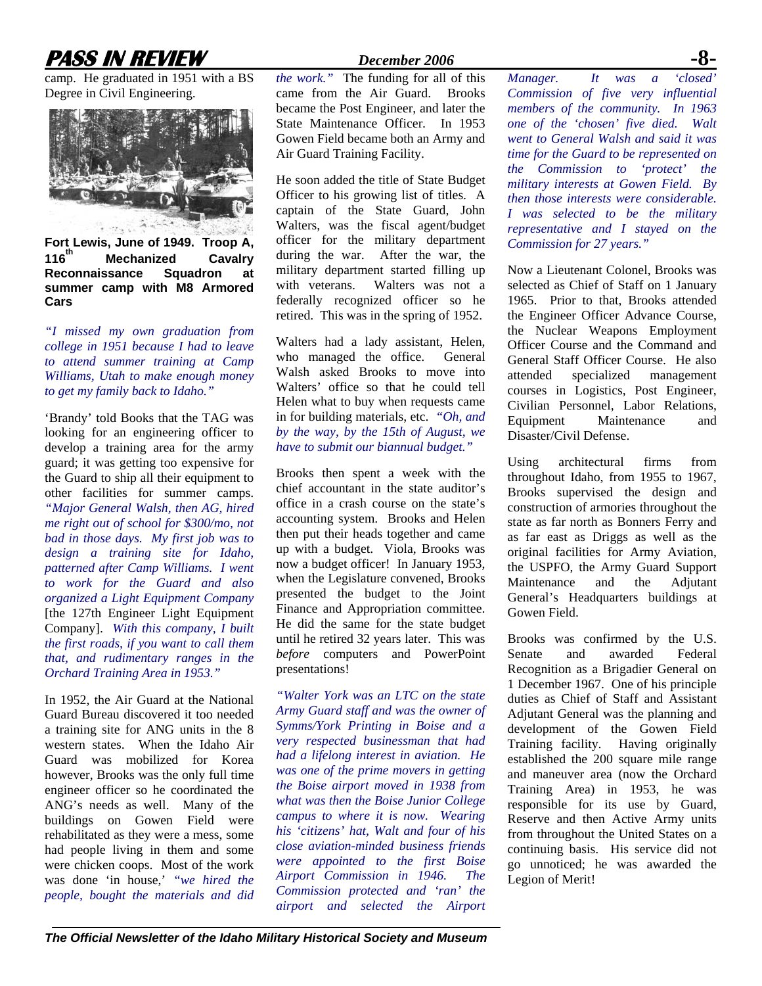# **PASS IN REVIEW** *December 2006*

camp. He graduated in 1951 with a BS Degree in Civil Engineering.



**Fort Lewis, June of 1949. Troop A, Mechanized Cavalry Reconnaissance Squadron at summer camp with M8 Armored Cars** 

*"I missed my own graduation from college in 1951 because I had to leave to attend summer training at Camp Williams, Utah to make enough money to get my family back to Idaho."* 

'Brandy' told Books that the TAG was looking for an engineering officer to develop a training area for the army guard; it was getting too expensive for the Guard to ship all their equipment to other facilities for summer camps. *"Major General Walsh, then AG, hired me right out of school for \$300/mo, not bad in those days. My first job was to design a training site for Idaho, patterned after Camp Williams. I went to work for the Guard and also organized a Light Equipment Company*  [the 127th Engineer Light Equipment Company]. *With this company, I built the first roads, if you want to call them that, and rudimentary ranges in the Orchard Training Area in 1953."* 

In 1952, the Air Guard at the National Guard Bureau discovered it too needed a training site for ANG units in the 8 western states. When the Idaho Air Guard was mobilized for Korea however, Brooks was the only full time engineer officer so he coordinated the ANG's needs as well. Many of the buildings on Gowen Field were rehabilitated as they were a mess, some had people living in them and some were chicken coops. Most of the work was done 'in house,' *"we hired the people, bought the materials and did* 

*the work."* The funding for all of this came from the Air Guard. Brooks became the Post Engineer, and later the State Maintenance Officer. In 1953 Gowen Field became both an Army and Air Guard Training Facility.

He soon added the title of State Budget Officer to his growing list of titles. A captain of the State Guard, John Walters, was the fiscal agent/budget officer for the military department during the war. After the war, the military department started filling up with veterans. Walters was not a federally recognized officer so he retired. This was in the spring of 1952.

Walters had a lady assistant, Helen, who managed the office. General Walsh asked Brooks to move into Walters' office so that he could tell Helen what to buy when requests came in for building materials, etc. *"Oh, and by the way, by the 15th of August, we have to submit our biannual budget."* 

Brooks then spent a week with the chief accountant in the state auditor's office in a crash course on the state's accounting system. Brooks and Helen then put their heads together and came up with a budget. Viola, Brooks was now a budget officer! In January 1953, when the Legislature convened, Brooks presented the budget to the Joint Finance and Appropriation committee. He did the same for the state budget until he retired 32 years later. This was *before* computers and PowerPoint presentations!

*"Walter York was an LTC on the state Army Guard staff and was the owner of Symms/York Printing in Boise and a very respected businessman that had had a lifelong interest in aviation. He was one of the prime movers in getting the Boise airport moved in 1938 from what was then the Boise Junior College campus to where it is now. Wearing his 'citizens' hat, Walt and four of his close aviation-minded business friends were appointed to the first Boise Airport Commission in 1946. The Commission protected and 'ran' the airport and selected the Airport* 

*Manager. It was a Commission of five very influential members of the community. In 1963 one of the 'chosen' five died. Walt went to General Walsh and said it was time for the Guard to be represented on the Commission to 'protect' the military interests at Gowen Field. By then those interests were considerable. I was selected to be the military representative and I stayed on the Commission for 27 years."* 

Now a Lieutenant Colonel, Brooks was selected as Chief of Staff on 1 January 1965. Prior to that, Brooks attended the Engineer Officer Advance Course, the Nuclear Weapons Employment Officer Course and the Command and General Staff Officer Course. He also attended specialized management courses in Logistics, Post Engineer, Civilian Personnel, Labor Relations, Equipment Maintenance and Disaster/Civil Defense.

Using architectural firms from throughout Idaho, from 1955 to 1967, Brooks supervised the design and construction of armories throughout the state as far north as Bonners Ferry and as far east as Driggs as well as the original facilities for Army Aviation, the USPFO, the Army Guard Support Maintenance and the Adjutant General's Headquarters buildings at Gowen Field.

Brooks was confirmed by the U.S. Senate and awarded Federal Recognition as a Brigadier General on 1 December 1967. One of his principle duties as Chief of Staff and Assistant Adjutant General was the planning and development of the Gowen Field Training facility. Having originally established the 200 square mile range and maneuver area (now the Orchard Training Area) in 1953, he was responsible for its use by Guard, Reserve and then Active Army units from throughout the United States on a continuing basis. His service did not go unnoticed; he was awarded the Legion of Merit!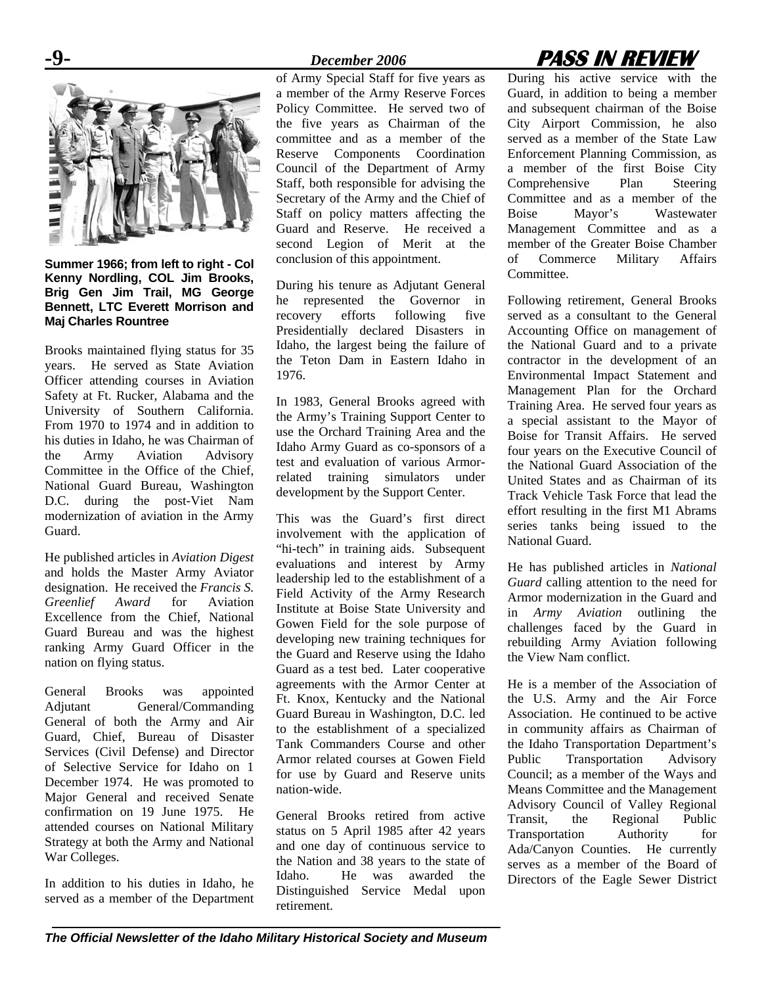

**Summer 1966; from left to right - Col Kenny Nordling, COL Jim Brooks, Brig Gen Jim Trail, MG George Bennett, LTC Everett Morrison and Maj Charles Rountree** 

Brooks maintained flying status for 35 years. He served as State Aviation Officer attending courses in Aviation Safety at Ft. Rucker, Alabama and the University of Southern California. From 1970 to 1974 and in addition to his duties in Idaho, he was Chairman of the Army Aviation Advisory Committee in the Office of the Chief, National Guard Bureau, Washington D.C. during the post-Viet Nam modernization of aviation in the Army Guard.

He published articles in *Aviation Digest* and holds the Master Army Aviator designation. He received the *Francis S. Greenlief Award* for Aviation Excellence from the Chief, National Guard Bureau and was the highest ranking Army Guard Officer in the nation on flying status.

General Brooks was appointed Adjutant General/Commanding General of both the Army and Air Guard, Chief, Bureau of Disaster Services (Civil Defense) and Director of Selective Service for Idaho on 1 December 1974. He was promoted to Major General and received Senate confirmation on 19 June 1975. He attended courses on National Military Strategy at both the Army and National War Colleges.

In addition to his duties in Idaho, he served as a member of the Department

of Army Special Staff for five years as a member of the Army Reserve Forces Policy Committee. He served two of the five years as Chairman of the committee and as a member of the Reserve Components Coordination Council of the Department of Army Staff, both responsible for advising the Secretary of the Army and the Chief of Staff on policy matters affecting the Guard and Reserve. He received a second Legion of Merit at the conclusion of this appointment.

During his tenure as Adjutant General he represented the Governor in recovery efforts following five Presidentially declared Disasters in Idaho, the largest being the failure of the Teton Dam in Eastern Idaho in 1976.

In 1983, General Brooks agreed with the Army's Training Support Center to use the Orchard Training Area and the Idaho Army Guard as co-sponsors of a test and evaluation of various Armorrelated training simulators under development by the Support Center.

This was the Guard's first direct involvement with the application of "hi-tech" in training aids. Subsequent evaluations and interest by Army leadership led to the establishment of a Field Activity of the Army Research Institute at Boise State University and Gowen Field for the sole purpose of developing new training techniques for the Guard and Reserve using the Idaho Guard as a test bed. Later cooperative agreements with the Armor Center at Ft. Knox, Kentucky and the National Guard Bureau in Washington, D.C. led to the establishment of a specialized Tank Commanders Course and other Armor related courses at Gowen Field for use by Guard and Reserve units nation-wide.

General Brooks retired from active status on 5 April 1985 after 42 years and one day of continuous service to the Nation and 38 years to the state of Idaho. He was awarded the Distinguished Service Medal upon retirement.

# **-9-** *December 2006* **PASS IN REVIEW**

During his active service with the Guard, in addition to being a member and subsequent chairman of the Boise City Airport Commission, he also served as a member of the State Law Enforcement Planning Commission, as a member of the first Boise City Comprehensive Plan Steering Committee and as a member of the Boise Mayor's Wastewater Management Committee and as a member of the Greater Boise Chamber of Commerce Military Affairs Committee.

Following retirement, General Brooks served as a consultant to the General Accounting Office on management of the National Guard and to a private contractor in the development of an Environmental Impact Statement and Management Plan for the Orchard Training Area. He served four years as a special assistant to the Mayor of Boise for Transit Affairs. He served four years on the Executive Council of the National Guard Association of the United States and as Chairman of its Track Vehicle Task Force that lead the effort resulting in the first M1 Abrams series tanks being issued to the National Guard.

He has published articles in *National Guard* calling attention to the need for Armor modernization in the Guard and in *Army Aviation* outlining the challenges faced by the Guard in rebuilding Army Aviation following the View Nam conflict.

He is a member of the Association of the U.S. Army and the Air Force Association. He continued to be active in community affairs as Chairman of the Idaho Transportation Department's Public Transportation Advisory Council; as a member of the Ways and Means Committee and the Management Advisory Council of Valley Regional Transit, the Regional Public Transportation Authority for Ada/Canyon Counties. He currently serves as a member of the Board of Directors of the Eagle Sewer District